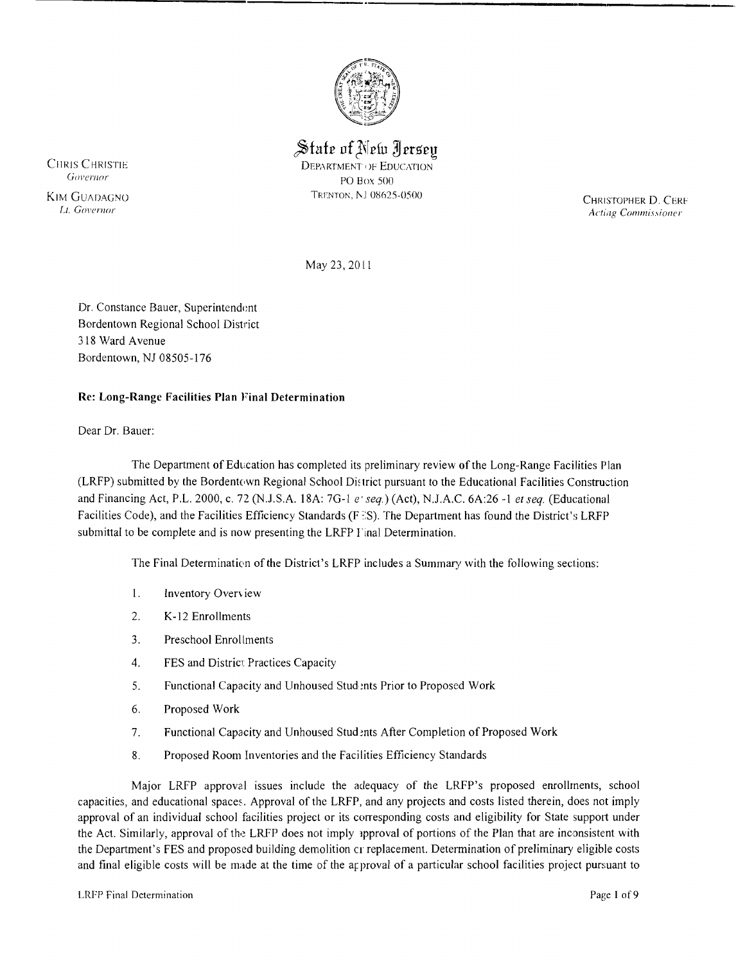

State of New Jersey

**DEPARTMENT OF EDUCATION** PO Box 500 TRENTON, NJ 08625-0500

CHRISTOPHER D. CERE **Acting Commissioner** 

May 23, 2011

Dr. Constance Bauer, Superintendent Bordentown Regional School District 318 Ward Avenue Bordentown, NJ 08505-176

#### Re: Long-Range Facilities Plan Final Determination

Dear Dr. Bauer:

The Department of Education has completed its preliminary review of the Long-Range Facilities Plan (LRFP) submitted by the Bordentown Regional School District pursuant to the Educational Facilities Construction and Financing Act, P.L. 2000, c. 72 (N.J.S.A. 18A: 7G-1 e' seq.) (Act), N.J.A.C. 6A:26 -1 et seq. (Educational Facilities Code), and the Facilities Efficiency Standards (FES). The Department has found the District's LRFP submittal to be complete and is now presenting the LRFP Final Determination.

The Final Determination of the District's LRFP includes a Summary with the following sections:

- $\mathbf{1}$ . Inventory Overview
- $\overline{2}$ . K-12 Enrollments
- $3<sub>1</sub>$ Preschool Enrollments
- $\overline{4}$ . FES and District Practices Capacity
- 5. Functional Capacity and Unhoused Students Prior to Proposed Work
- 6. Proposed Work
- $7<sup>1</sup>$ Functional Capacity and Unhoused Students After Completion of Proposed Work
- 8. Proposed Room Inventories and the Facilities Efficiency Standards

Major LRFP approval issues include the adequacy of the LRFP's proposed enrollments, school capacities, and educational spaces. Approval of the LRFP, and any projects and costs listed therein, does not imply approval of an individual school facilities project or its corresponding costs and eligibility for State support under the Act. Similarly, approval of the LRFP does not imply approval of portions of the Plan that are inconsistent with the Department's FES and proposed building demolition or replacement. Determination of preliminary eligible costs and final eligible costs will be made at the time of the approval of a particular school facilities project pursuant to

**CHRIS CHRISTIE** Governor

**KIM GUADAGNO** Lt. Governor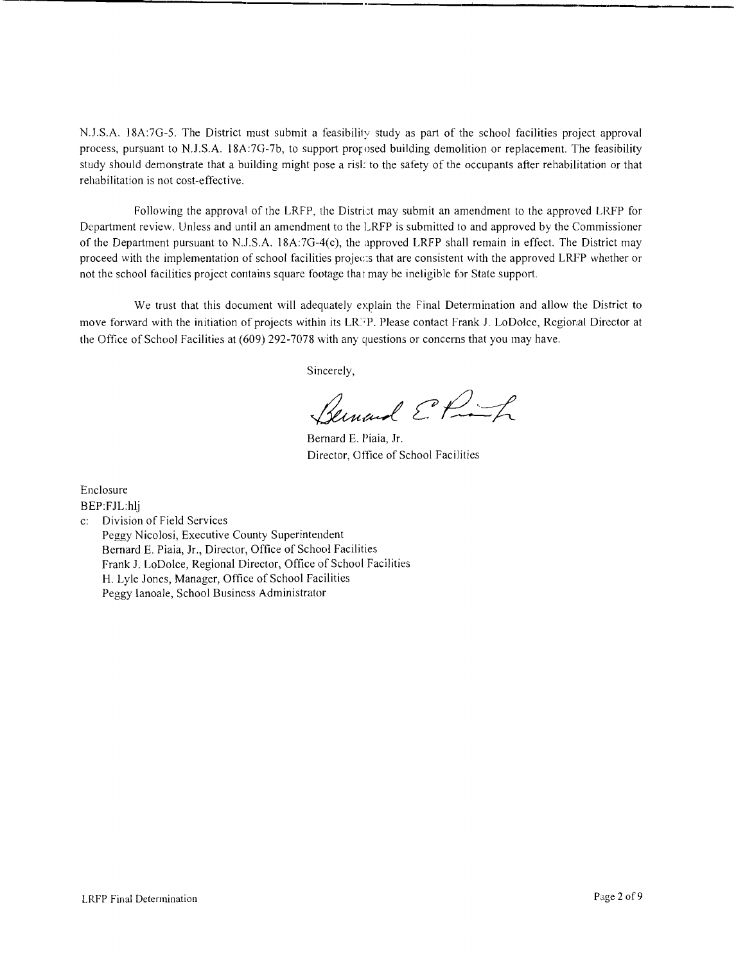N.J.S.A. 18A:7G-5. The District must submit a feasibility study as part of the school facilities project approval process, pursuant to N.J.S.A. 18A:7G-7b, to support prorosed building demolition or replacement. The feasibility study should demonstrate that a building might pose a ris!: to the safety of the occupants after rehabilitation or that rehabilitation is not cost-effective.

**.\_-------------\_.\_---\_.\_--------\_.---------**

Following the approval of the LRFP, the District may submit an amendment to the approved LRFP for Department review. Unless and until an amendment to the LRFP is submitted to and approved by the Commissioner of the Department pursuant to NJ.S.A. l8A:7G-4(c), the approved LRFP shall remain in effect. The District may proceed with the implementation of school facilities projec:s that are consistent with the approved LRFP whether or not the school facilities project contains square footage that may be ineligible for State support.

We trust that this document will adequately explain the Final Determination and allow the District to move forward with the initiation of projects within its LR:;P. Please contact Frank J. LoDoke, Regional Director at the Office of School Facilities at (609) 292-7078 with any questions or concerns that you may have.

Sincerely,

Bernard E. Pinf

Bernard E. Piaia, Jr. Director, Office of School Facilities

Enclosure BEP:FJL:hlj

- c: Division of Field Services
	- Peggy Nicolosi, Executive County Superintendent Bernard E. Piaia, Jr., Director, Office of School Facilities Frank J. LoDolce, Regional Director, Office of School Facilities H. Lyle Jones, Manager, Office of School Facilities Peggy lanoale, School Business Administrator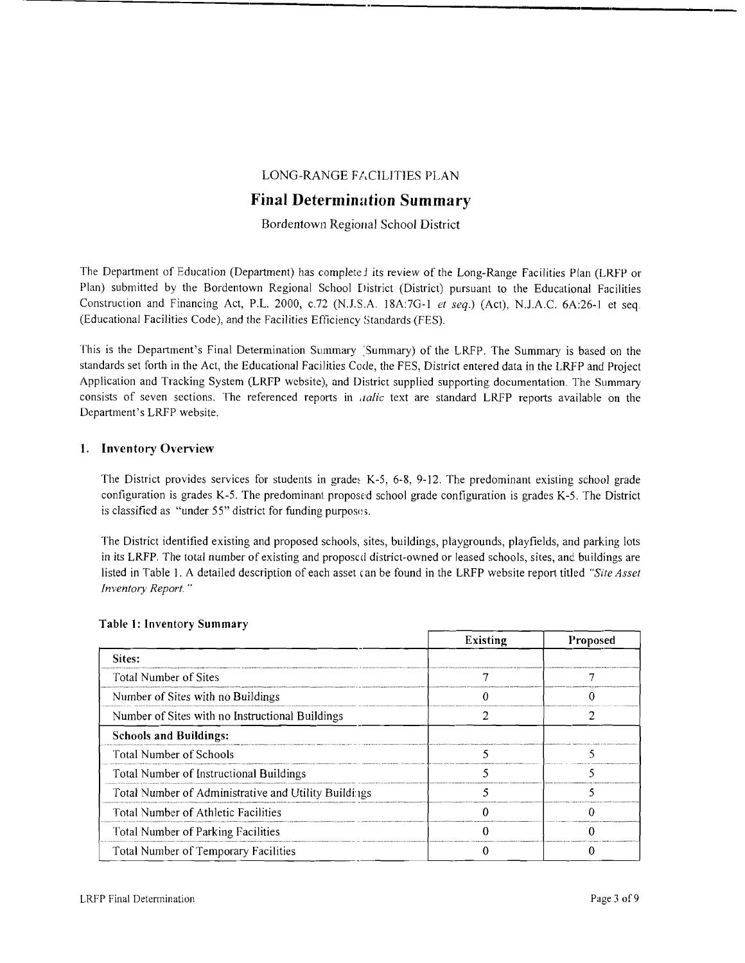### LONG-RANGE FACILITIES PLAN

# **Final Determination Summary**

Bordentown Regional School District

The Department of Education (Department) has completed its review of the Long-Range Facilities Plan (LRFP or Plan) submitted by the Bordentown Regional School District (District) pursuant to the Educational Facilities Construction and Financing Act, P.L. 2000, c.72 (N.J.S.A. 18A:7G-1 et seq.) (Act), N.J.A.C. 6A:26-1 et seq. (Educational Facilities Code), and the Facilities Efficiency Standards (FES).

This is the Department's Final Determination Summary (Summary) of the LRFP. The Summary is based on the standards set forth in the Act, the Educational Facilities Code, the FES, District entered data in the LRFP and Project Application and Tracking System (LRFP website), and District supplied supporting documentation. The Summary consists of seven sections. The referenced reports in *italic* text are standard LRFP reports available on the Department's LRFP website.

#### 1. Inventory Overview

The District provides services for students in grades K-5, 6-8, 9-12. The predominant existing school grade configuration is grades K-5. The predominant proposed school grade configuration is grades K-5. The District is classified as "under 55" district for funding purposes.

The District identified existing and proposed schools, sites, buildings, playgrounds, playfields, and parking lots in its LRFP. The total number of existing and proposed district-owned or leased schools, sites, and buildings are listed in Table 1. A detailed description of each asset can be found in the LRFP website report titled "Site Asset Inventory Report."

|                                                      | Existing | Proposed |
|------------------------------------------------------|----------|----------|
| Sites:                                               |          |          |
| <b>Total Number of Sites</b>                         |          |          |
| Number of Sites with no Buildings                    |          |          |
| Number of Sites with no Instructional Buildings      |          |          |
| <b>Schools and Buildings:</b>                        |          |          |
| Total Number of Schools                              |          |          |
| Total Number of Instructional Buildings              |          |          |
| Total Number of Administrative and Utility Buildings |          |          |
| Total Number of Athletic Facilities                  |          |          |
| <b>Total Number of Parking Facilities</b>            |          |          |
| Total Number of Temporary Facilities                 |          |          |

#### Table 1: Inventory Summary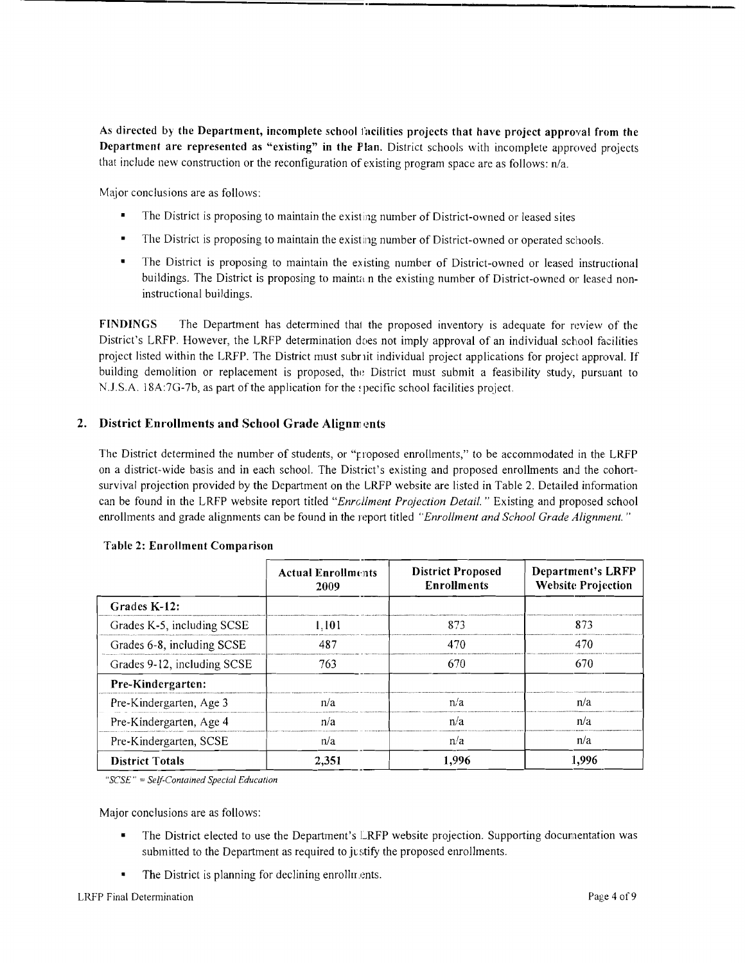As directed by the Department, incomplete school facilities projects that have project approval from the Department are represented as "existing" in the Plan. District schools with incomplete approved projects that include new construction or the reconfiguration of existing program space are as follows: *nJa.* 

Major conclusions are as follows:

- $\blacksquare$ The District is proposing to maintain the existing number of District-owned or leased sites
- The District is proposing to maintain the existing number of District-owned or operated schools.
- The District is proposing to maintain the existing number of District-owned or leased instructional buildings. The District is proposing to maintain the existing number of District-owned or leased noninstructional buildings.

FINDINGS The Department has determined that the proposed inventory is adequate for review of the District's LRFP. However, the LRFP determination does not imply approval of an individual school facilities project listed within the LRFP. The District must subrit individual project applications for project approval. If building demolition or replacement is proposed, the District must submit a feasibility study, pursuant to N.J.S.A. 18A:7G-7b, as part of the application for the pecific school facilities project.

# 2. District Enrollments and School Grade Alignments

The District determined the number of students, or "proposed enrollments," to be accommodated in the LRFP on a district-wide basis and in each school. The District's existing and proposed enrollments and the cohortsurvival projection provided by the Department on the LRFP website are listed in Table 2. Detailed information can be found in the LRFP website report titled *"Enrcllment Projection Detail.* " Existing and proposed school enrollments and grade alignments can be found in the report titled *"Enrollment and School Grade Alignment. "* 

|                                | <b>Actual Enrollments</b><br>2009 | <b>District Proposed</b><br><b>Enrollments</b> | Department's LRFP<br><b>Website Projection</b> |  |
|--------------------------------|-----------------------------------|------------------------------------------------|------------------------------------------------|--|
| Grades K-12:                   |                                   |                                                |                                                |  |
| Grades K-5, including SCSE     | 1.101                             | 873                                            | 873                                            |  |
| Grades 6-8, including SCSE     | 487                               | 470                                            | 470                                            |  |
| Grades 9-12, including SCSE    | 763                               | 670                                            | 670                                            |  |
| Pre-Kindergarten:              |                                   |                                                |                                                |  |
| Pre-Kindergarten, Age 3        | n/a                               | n/a                                            | n/a                                            |  |
| Pre-Kindergarten, Age 4<br>n/a |                                   | n/a                                            | n/a                                            |  |
| Pre-Kindergarten, SCSE         | n/a<br>n/a                        |                                                | n/a                                            |  |
| <b>District Totals</b>         | 2,351                             | 1.996                                          | 1,996                                          |  |

#### Table 2: Enrollment Comparison

*"SCSE"* = *Self·Contained Special Education* 

Major conclusions are as follows:

- The District elected to use the Department's LRFP website projection. Supporting documentation was submitted to the Department as required to justify the proposed enrollments.
- The District is planning for declining enrollments.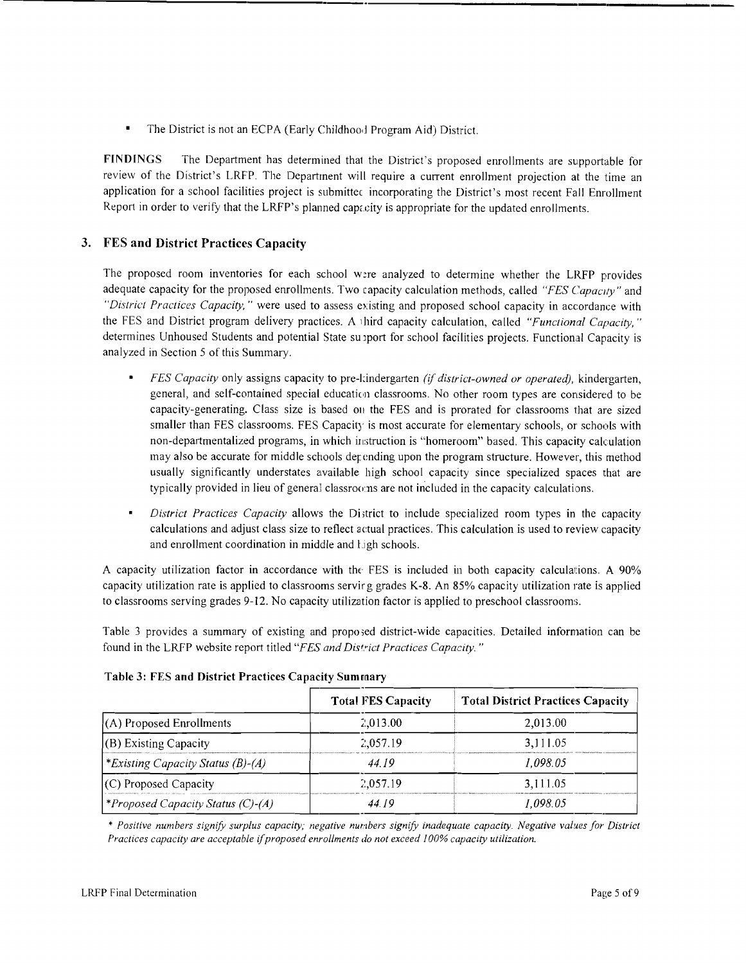$\blacksquare$ The District is not an ECPA (Early Childhood Program Aid) District.

**.\_--------------------,--\_.\_----\_.\_------**

**FINDINGS** The Department has determined that the District's proposed enrollments are supportable for review of the District's LRFP. The Department will require a current enrollment projection at the time an application for a school facilities project is submittee incorporating the District's most recent Fall Enrollment Report in order to verify that the LRFP's planned capacity is appropriate for the updated enrollments.

# **3. FES and District Practices Capacity**

The proposed room inventories for each school were analyzed to determine whether the LRFP provides adequate capacity for the proposed enrollments. Two capacity calculation methods, called *"FES Capacity"* and *"District Practices Capacity,* " were used to assess existing and proposed school capacity in accordance with the FES and District program delivery practices. A I hird capacity calculation, called *"Functional Capacity, "*  determines Unhoused Students and potential State su port for school facilities projects. Functional Capacity is analyzed in Section 5 of this Summary.

- *FES Capacity* only assigns capacity to pre-kindergarten *(if district-owned or operated)*, kindergarten, general, and self-contained special education classrooms. No other room types are considered to be capacity-generating. Class size is based on the FES and is prorated for classrooms that are sized smaller than FES classrooms. FES Capacity is most accurate for elementary schools, or schools with non-departmentalized programs, in which imtruction is "homeroom" based. This capacity calculation may also be accurate for middle schools derending upon the program structure. However, this method usually significantly understates available high school capacity since specialized spaces that are typically provided in lieu of general classrooms are not included in the capacity calculations.
- *District Practices Capacity* allows the District to include specialized room types in the capacity calculations and adjust class size to reflect actual practices. This calculation is used to review capacity and enrollment coordination in middle and tigh schools.

A capacity utilization factor in accordance with the FES is included in both capacity calculations. A 90% capacity utilization rate is applied to classrooms servir g grades K-8. An 85% capacity utilization rate is applied to classrooms serving grades 9-12. No capacity utilization factor is applied to preschool classrooms.

Table 3 provides a summary of existing and proposed district-wide capacities. Detailed information can be found in the LRFP website report titled "FES and District Practices Capacity."

|                                            | <b>Total FES Capacity</b> | <b>Total District Practices Capacity</b> |  |
|--------------------------------------------|---------------------------|------------------------------------------|--|
| $(A)$ Proposed Enrollments                 | 2,013.00                  | 2,013.00                                 |  |
| $  (B)$ Existing Capacity                  | 2,057.19                  | 3,111.05                                 |  |
| <i>Existing Capacity Status (B)-(A)</i>    | 44 19                     | 1.098.05                                 |  |
| (C) Proposed Capacity                      | 2.057.19                  | 3.111.05                                 |  |
| <i>\</i> *Proposed Capacity Status (C)-(A) | 44 19                     | 1.098.05                                 |  |

#### **Table 3: FES and District Practices Capacity Summtary**

*• Positive numbers signify surplus capacity; negative numbers signify inadequate capacity. Negative values for District Practices capacity are acceptable* if*proposed enrollments do not exceed 100% capacity utilization.*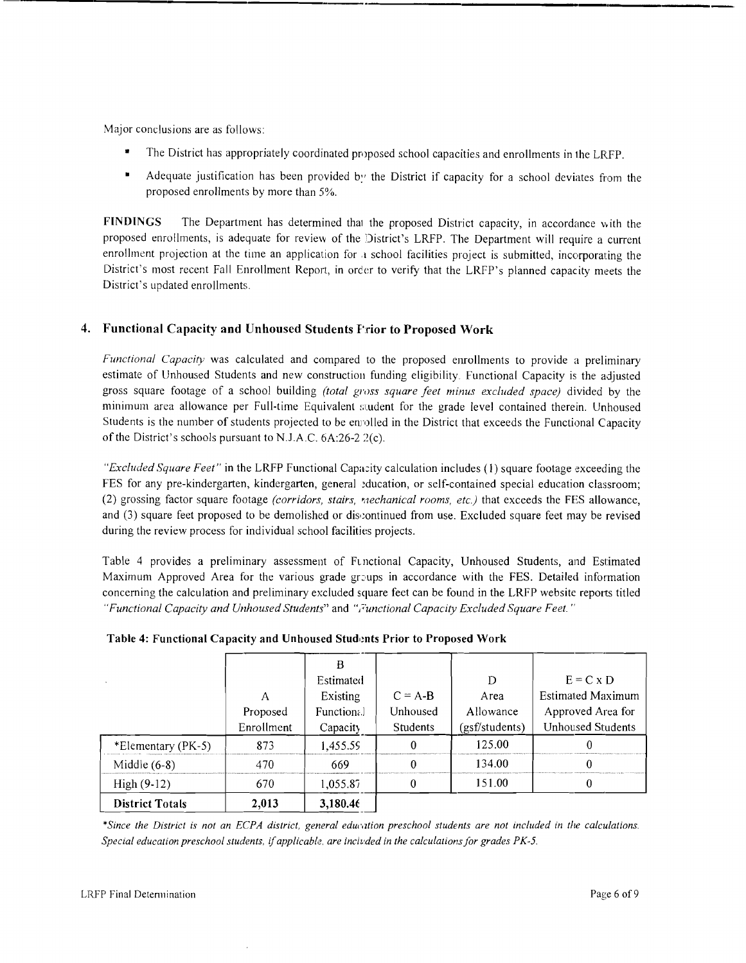Major conclusions are as follows:

- The District has appropriately coordinated proposed school capacities and enrollments in the LRFP.
- Adequate justification has been provided by the District if capacity for a school deviates from the proposed enrollments by more than 5%.

FINDINGS The Department has determined that the proposed District capacity, in accordance with the proposed enrollments, is adequate for review of the District's LRFP. The Department will require a current enrollment projection at the time an application for a school facilities project is submitted, incorporating the District's most recent Fall Enrollment Report, in order to verify that the LRFP's planned capacity meets the District's updated enrollments.

# **4. Functional Capacity and Unhoused Students Prior to Proposed Work**

**---------------,-------\_.\_-------------**

*Functional Capacity* was calculated and compared to the proposed enrollments to provide a preliminary estimate of Unhoused Students and new construction funding eligibility Functional Capacity is the adjusted gross square footage of a school building *(total gross square feet minus excluded space)* divided by the minimum area allowance per Full-time Equivalent student for the grade level contained therein. Unhoused Students is the number of students projected to be enrolled in the District that exceeds the Functional Capacity of the District's schools pursuant to NJ.A.C. 6A:26-2 2(c).

*"Excluded Square Feet"* in the LRFP Functional Capacity calculation includes (1) square footage exceeding the FES for any pre-kindergarten, kindergarten, general education, or self-contained special education classroom; (2) grossing factor square footage *(corridors, stairs, r,1echanical rooms, etc.)* that exceeds the FES allowance, and (3) square feet proposed to be demolished or discontinued from use. Excluded square feet may be revised during the review process for individual school facilities projects.

Table 4 provides a preliminary assessment of Functional Capacity, Unhoused Students, and Estimated Maximum Approved Area for the various grade groups in accordance with the FES. Detailed information concerning the calculation and preliminary excluded square feet can be found in the LRFP website reports titled *"Functional Capacity and Unhoused Students"* and *"j·'unctional Capacity Excluded Square Feet. "* 

|                        | Α<br>Proposed<br>Enrollment | В<br>Estimated<br>Existing<br>Functional<br>Capacity | $C = A-B$<br>Unhoused<br><b>Students</b> | D<br>Area<br>Allowance<br>(gsf/students) | $E = C \times D$<br><b>Estimated Maximum</b><br>Approved Area for<br><b>Unhoused Students</b> |
|------------------------|-----------------------------|------------------------------------------------------|------------------------------------------|------------------------------------------|-----------------------------------------------------------------------------------------------|
| *Elementary (PK-5)     | 873                         | 1,455.59                                             | $\theta$                                 | 125.00                                   |                                                                                               |
| Middle $(6-8)$         | 470                         | 669                                                  | 0                                        | 134.00                                   |                                                                                               |
| $High (9-12)$          | 670                         | 1,055.87                                             | $\Omega$                                 | 151.00                                   |                                                                                               |
| <b>District Totals</b> | 2,013                       | 3,180.46                                             |                                          |                                          |                                                                                               |

Table 4: Functional Capacity and Unhoused Students Prior to Proposed Work

\**Since the District* is *not an ECPA district, general edw',1tion preschool students are not included in the calculations. Special education preschool students,* if*applicable, are inch,ded in the calculations/or grades PK-5.*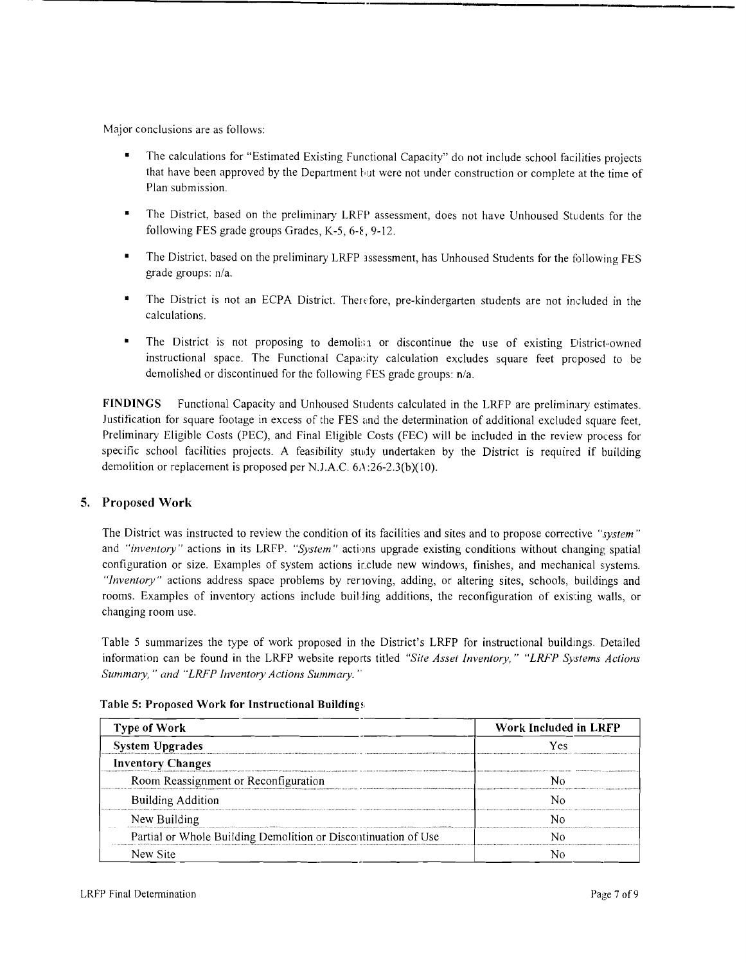Major conclusions are as follows:

The calculations for "Estimated Existing Functional Capacity" do not include school facilities projects that have been approved by the Department but were not under construction or complete at the time of Plan submission.

----------------\_.\_------\_.\_-----

- • The District. based on the preliminary LRFP assessment, does not have Unhoused Students for the following FES grade groups Grades,  $K-5$ , 6- $\epsilon$ , 9-12.
- The District, based on the preliminary LRFP assessment, has Unhoused Students for the following FES grade groups: *n/a.*
- The District is not an ECPA District. Therefore, pre-kindergarten students are not included in the calculations.
- The District is not proposing to demolism or discontinue the use of existing District-owned instructional space. The Functional Capacity calculation excludes square feet proposed to be demolished or discontinued for the following FES grade groups:  $n/a$ .

FINDINGS Functional Capacity and Unhoused Students calculated in the LRFP are preliminary estimates. Justification for square footage in excess of the FES and the determination of additional excluded square feet Preliminary Eligible Costs (PEC), and Final Eligible Costs (FEC) will be included in the review process for specific school facilities projects. A feasibility study undertaken by the District is required if building demolition or replacement is proposed per N.J.A.C.  $6A:26-2.3(b)(10)$ .

#### 5. Proposed Work

The District was instructed to review the condition of its facilities and sites and to propose corrective *".system"*  and *"inventory"* actions in its LRFP. "System" actions upgrade existing conditions without changing spatial configuration or size. Examples of system actions ir.clude new windows, finishes, and mechanical systems. *"Inventory"* actions address space problems by rerioving, adding, or altering sites, schools, buildings and rooms. Examples of inventory actions include builjing additions, the reconfiguration of existing walls, or changing room use.

Table 5 summarizes the type of work proposed in the District's LRFP for instructional buildmgs. Detailed information can be found in the LRFP website reports titled *"Site Asset Inventory," "LRFP Systems Actions Summary," and "LRFP Inventory Actions Summary."* 

| <b>Type of Work</b>                                            | Work Included in LRFP |  |  |
|----------------------------------------------------------------|-----------------------|--|--|
| <b>System Upgrades</b>                                         | Yes                   |  |  |
| <b>Inventory Changes</b>                                       |                       |  |  |
| Room Reassignment or Reconfiguration                           |                       |  |  |
| <b>Building Addition</b>                                       |                       |  |  |
| New Building                                                   |                       |  |  |
| Partial or Whole Building Demolition or Discontinuation of Use |                       |  |  |
| New Site                                                       |                       |  |  |

Table 5: Proposed Work for Instructional Buildings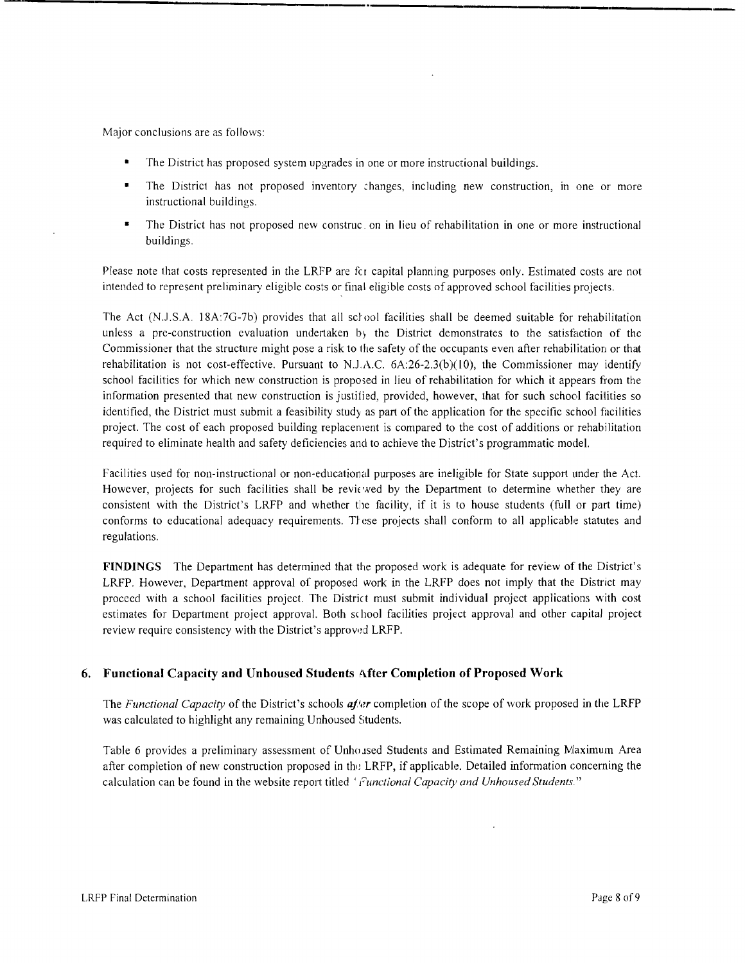Major conclusions are as follows:

• The District has proposed system upgrades in one or more instructional buildings.

to a construct the contract of the series of the series of the construction of the construction of the construction of the construction of the construction of the construction of the construction of the construction of the

- The District has not proposed inventory changes, including new construction, in one or more instructional buildings.
- The District has not proposed new construc. on in lieu of rehabilitation in one or more instructional buildings.

Please note that costs represented in the LRFP are fer capital planning purposes only. Estimated costs are not intended to represent preliminary eligible costs or final eligible costs of approved school facilities projects.

The Act (N.J.S.A. 18A:7G-7b) provides that all school facilities shall be deemed suitable for rehabilitation unless a pre-construction evaluation undertaken by the District demonstrates to the satisfaction of the Commissioner that the structure might pose a risk to the safety of the occupants even after rehabilitation or that rehabilitation is not cost-effective. Pursuant to N.J.A.C.  $6A:26-2.3(b)(10)$ , the Commissioner may identify school facilities for which new construction is proposed in lieu of rehabilitation for which it appears from the information presented that new construction is justified, provided, however, that for such school facilities so identified, the District must submit a feasibility study as part of the application for the specific school facilities project. The cost of each proposed building replacement is compared to the cost of additions or rehabilitation required to eliminate health and safety deficiencies and to achieve the District's programmatic model.

Facilities used for non-instructional or non-educational purposes are ineligible for State support under the Act. However, projects for such facilities shall be revic wed by the Department to determine whether they are consistent with the District's LRFP and whether the facility, if it is to house students (full or part time) conforms to educational adequacy requirements. These projects shall conform to all applicable statutes and regulations.

**FINDINGS** The Department has determined that the proposed work is adequate for review of the District's LRFP. However, Department approval of proposed work in the LRFP does not imply that the District may proceed with a school facilities project. The District must submit individual project applications with cost estimates for Department project approval. Both s( hool facilities project approval and other capital project review require consistency with the District's approwd LRFP.

#### **6. Functional Capacity and Unhoused Students After Completion** of Proposed **Work**

The *Functional Capacity* of the District's schools *after* completion of the scope of work proposed in the LRFP was calculated to highlight any remaining Unhoused Students.

Table 6 provides a preliminary assessment of Unhoused Students and Estimated Remaining Maximum Area after completion of new construction proposed in the LRFP, if applicable. Detailed information concerning the calculation can be found in the website report titled '*Functional Capacity and Unhoused Students.*"